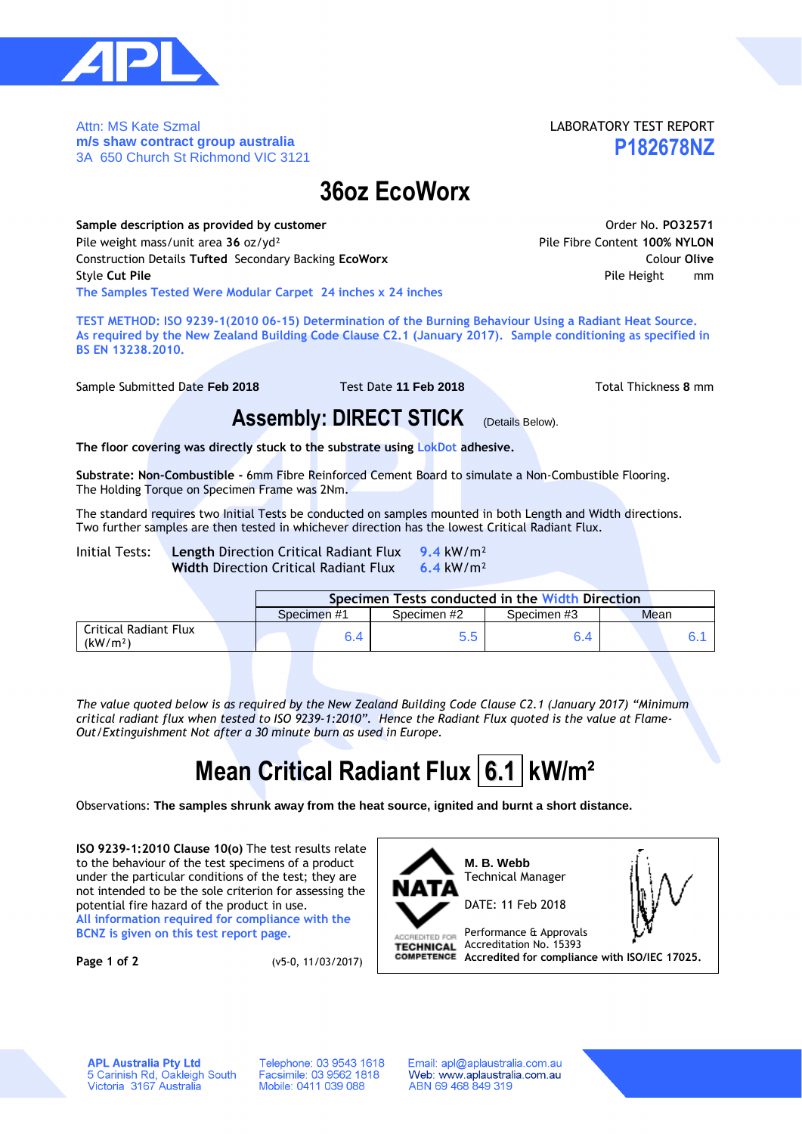

Attn: MS Kate Szmal **m/s shaw contract group australia** 3A 650 Church St Richmond VIC 3121

### LABORATORY TEST REPORT **P182678NZ**

## **36oz EcoWorx**

**Sample description as provided by customer All and Security Constant Constant Order No. PO32571** Pile weight mass/unit area **36** oz/yd² Pile Fibre Content **100% NYLON** Construction Details **Tufted** Secondary Backing **EcoWorx** Colour **Olive** Style **Cut Pile** Pile Height mm **The Samples Tested Were Modular Carpet 24 inches x 24 inches**

**TEST METHOD: ISO 9239-1(2010 06-15) Determination of the Burning Behaviour Using a Radiant Heat Source. As required by the New Zealand Building Code Clause C2.1 (January 2017). Sample conditioning as specified in BS EN 13238.2010.**

Sample Submitted Date **Feb 2018** Test Date **11 Feb 2018** Total Thickness **8** mm

### **Assembly: DIRECT STICK** (Details Below).

**The floor covering was directly stuck to the substrate using LokDot adhesive.**

**Substrate: Non-Combustible -** 6mm Fibre Reinforced Cement Board to simulate a Non-Combustible Flooring. The Holding Torque on Specimen Frame was 2Nm.

The standard requires two Initial Tests be conducted on samples mounted in both Length and Width directions. Two further samples are then tested in whichever direction has the lowest Critical Radiant Flux.

Initial Tests: **Length** Direction Critical Radiant Flux **9.4** kW/m² **Width** Direction Critical Radiant Flux **6.4** kW/m²

|                                               |             | Specimen Tests conducted in the Width Direction |             |      |  |  |  |  |  |  |  |
|-----------------------------------------------|-------------|-------------------------------------------------|-------------|------|--|--|--|--|--|--|--|
|                                               | Specimen #1 | Specimen #2                                     | Specimen #3 | Mean |  |  |  |  |  |  |  |
| Critical Radiant Flux<br>(kW/m <sup>2</sup> ) |             | $5.5^{\circ}$                                   | 5.4         |      |  |  |  |  |  |  |  |

*The value quoted below is as required by the New Zealand Building Code Clause C2.1 (January 2017) "Minimum critical radiant flux when tested to ISO 9239-1:2010". Hence the Radiant Flux quoted is the value at Flame-Out/Extinguishment Not after a 30 minute burn as used in Europe.*

# **Mean Critical Radiant Flux 6.1 kW/m<sup>2</sup>**

Observations: **The samples shrunk away from the heat source, ignited and burnt a short distance.**

**ISO 9239-1:2010 Clause 10(o)** The test results relate to the behaviour of the test specimens of a product under the particular conditions of the test; they are not intended to be the sole criterion for assessing the potential fire hazard of the product in use. **All information required for compliance with the BCNZ is given on this test report page.**

**Page 1 of 2** (v5-0, 11/03/2017)



**APL Australia Pty Ltd** 5 Carinish Rd, Oakleigh South<br>Victoria 3167 Australia

Telephone: 03 9543 1618 Facsimile: 03 9562 1818<br>Mobile: 0411 039 088

Email: apl@aplaustralia.com.au Web: www.aplaustralia.com.au ABN 69 468 849 319